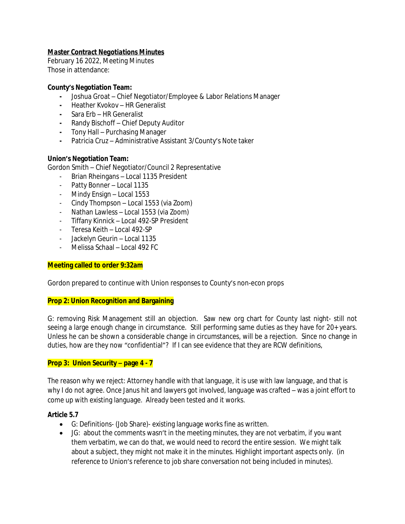# *Master Contract Negotiations Minutes*

February 16 2022, Meeting Minutes Those in attendance:

## **County's Negotiation Team:**

- **-** Joshua Groat Chief Negotiator/Employee & Labor Relations Manager
- **-** Heather Kvokov HR Generalist
- **-** Sara Erb HR Generalist
- **-** Randy Bischoff Chief Deputy Auditor
- **-** Tony Hall Purchasing Manager
- **-** Patricia Cruz Administrative Assistant 3/County's Note taker

# **Union's Negotiation Team:**

Gordon Smith – Chief Negotiator/Council 2 Representative

- Brian Rheingans Local 1135 President
- Patty Bonner Local 1135
- Mindy Ensign Local 1553
- Cindy Thompson Local 1553 (via Zoom)
- Nathan Lawless Local 1553 (via Zoom)
- Tiffany Kinnick Local 492-SP President
- Teresa Keith Local 492-SP
- Jackelyn Geurin Local 1135
- Melissa Schaal Local 492 FC

## **Meeting called to order 9:32am**

Gordon prepared to continue with Union responses to County's non-econ props

## **Prop 2: Union Recognition and Bargaining**

G: removing Risk Management still an objection. Saw new org chart for County last night- still not seeing a large enough change in circumstance. Still performing same duties as they have for 20+ years. Unless he can be shown a considerable change in circumstances, will be a rejection. Since no change in duties, how are they now "confidential"? If I can see evidence that they are RCW definitions,

## **Prop 3: Union Security – page 4 - 7**

The reason why we reject: Attorney handle with that language, it is use with law language, and that is why I do not agree. Once Janus hit and lawyers got involved, language was crafted – was a joint effort to come up with existing language. Already been tested and it works.

## **Article 5.7**

- G: Definitions- (Job Share)- existing language works fine as written.
- JG: about the comments wasn't in the meeting minutes, they are not verbatim, if you want them verbatim, we can do that, we would need to record the entire session. We might talk about a subject, they might not make it in the minutes. Highlight important aspects only. (in reference to Union's reference to job share conversation not being included in minutes).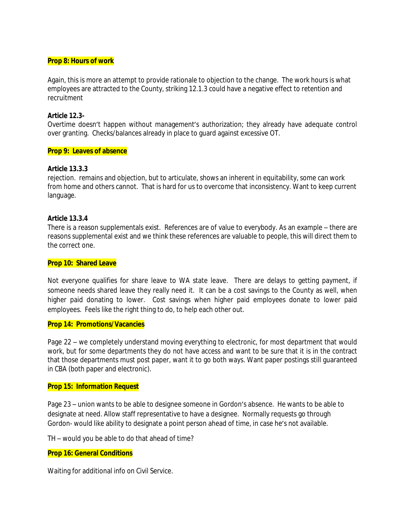#### **Prop 8: Hours of work**

Again, this is more an attempt to provide rationale to objection to the change. The work hours is what employees are attracted to the County, striking 12.1.3 could have a negative effect to retention and recruitment

### **Article 12.3-**

Overtime doesn't happen without management's authorization; they already have adequate control over granting. Checks/balances already in place to guard against excessive OT.

### **Prop 9: Leaves of absence**

### **Article 13.3.3**

rejection. remains and objection, but to articulate, shows an inherent in equitability, some can work from home and others cannot. That is hard for us to overcome that inconsistency. Want to keep current language.

### **Article 13.3.4**

There is a reason supplementals exist. References are of value to everybody. As an example – there are reasons supplemental exist and we think these references are valuable to people, this will direct them to the correct one.

#### **Prop 10: Shared Leave**

Not everyone qualifies for share leave to WA state leave. There are delays to getting payment, if someone needs shared leave they really need it. It can be a cost savings to the County as well, when higher paid donating to lower. Cost savings when higher paid employees donate to lower paid employees. Feels like the right thing to do, to help each other out.

## **Prop 14: Promotions/Vacancies**

Page 22 – we completely understand moving everything to electronic, for most department that would work, but for some departments they do not have access and want to be sure that it is in the contract that those departments must post paper, want it to go both ways. Want paper postings still guaranteed in CBA (both paper and electronic).

### **Prop 15: Information Request**

Page 23 – union wants to be able to designee someone in Gordon's absence. He wants to be able to designate at need. Allow staff representative to have a designee. Normally requests go through Gordon- would like ability to designate a point person ahead of time, in case he's not available.

TH – would you be able to do that ahead of time?

### **Prop 16: General Conditions**

Waiting for additional info on Civil Service.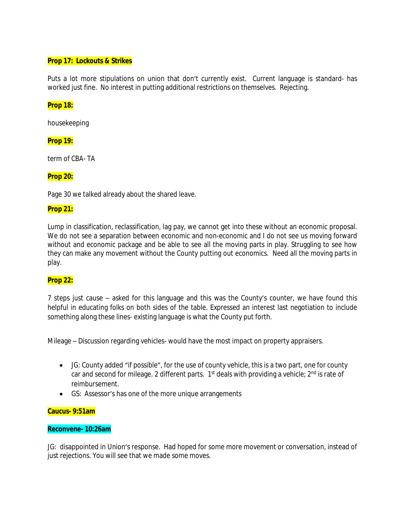## **Prop 17: Lockouts & Strikes**

Puts a lot more stipulations on union that don't currently exist. Current language is standard- has worked just fine. No interest in putting additional restrictions on themselves. Rejecting.

## **Prop 18:**

housekeeping

## **Prop 19:**

term of CBA- TA

# **Prop 20:**

Page 30 we talked already about the shared leave.

# **Prop 21:**

Lump in classification, reclassification, lag pay, we cannot get into these without an economic proposal. We do not see a separation between economic and non-economic and I do not see us moving forward without and economic package and be able to see all the moving parts in play. Struggling to see how they can make any movement without the County putting out economics. Need all the moving parts in play.

## **Prop 22:**

7 steps just cause – asked for this language and this was the County's counter, we have found this helpful in educating folks on both sides of the table. Expressed an interest last negotiation to include something along these lines- existing language is what the County put forth.

Mileage – Discussion regarding vehicles- would have the most impact on property appraisers.

- JG: County added "if possible", for the use of county vehicle, this is a two part, one for county car and second for mileage. 2 different parts.  $1<sup>st</sup>$  deals with providing a vehicle;  $2<sup>nd</sup>$  is rate of reimbursement.
- GS: Assessor's has one of the more unique arrangements

## **Caucus- 9:51am**

## **Reconvene- 10:26am**

JG: disappointed in Union's response. Had hoped for some more movement or conversation, instead of just rejections. You will see that we made some moves.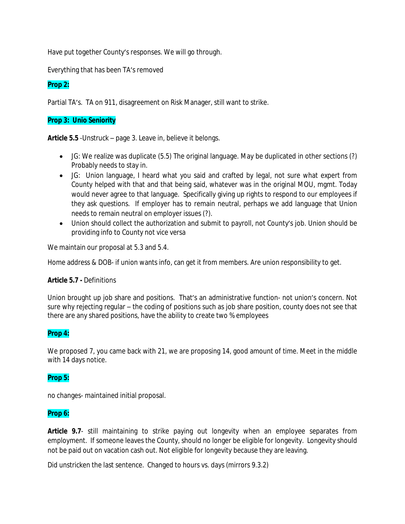Have put together County's responses. We will go through.

Everything that has been TA's removed

# **Prop 2:**

Partial TA's. TA on 911, disagreement on Risk Manager, still want to strike.

# **Prop 3: Unio Seniority**

**Article 5.5** -Unstruck – page 3. Leave in, believe it belongs.

- JG: We realize was duplicate (5.5) The original language. May be duplicated in other sections (?) Probably needs to stay in.
- JG: Union language, I heard what you said and crafted by legal, not sure what expert from County helped with that and that being said, whatever was in the original MOU, mgmt. Today would never agree to that language. Specifically giving up rights to respond to our employees if they ask questions. If employer has to remain neutral, perhaps we add language that Union needs to remain neutral on employer issues (?).
- Union should collect the authorization and submit to payroll, not County's job. Union should be providing info to County not vice versa

We maintain our proposal at 5.3 and 5.4.

Home address & DOB- if union wants info, can get it from members. Are union responsibility to get.

## **Article 5.7 -** Definitions

Union brought up job share and positions. That's an administrative function- not union's concern. Not sure why rejecting regular – the coding of positions such as job share position, county does not see that there are any shared positions, have the ability to create two % employees

# **Prop 4:**

We proposed 7, you came back with 21, we are proposing 14, good amount of time. Meet in the middle with 14 days notice.

# **Prop 5:**

no changes- maintained initial proposal.

## **Prop 6:**

**Article 9.7**- still maintaining to strike paying out longevity when an employee separates from employment. If someone leaves the County, should no longer be eligible for longevity. Longevity should not be paid out on vacation cash out. Not eligible for longevity because they are leaving.

Did unstricken the last sentence. Changed to hours vs. days (mirrors 9.3.2)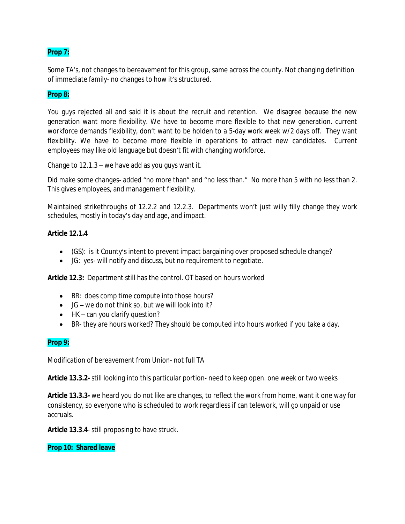# **Prop 7:**

Some TA's, not changes to bereavement for this group, same across the county. Not changing definition of immediate family- no changes to how it's structured.

# **Prop 8:**

You guys rejected all and said it is about the recruit and retention. We disagree because the new generation want more flexibility. We have to become more flexible to that new generation. current workforce demands flexibility, don't want to be holden to a 5-day work week w/2 days off. They want flexibility. We have to become more flexible in operations to attract new candidates. Current employees may like old language but doesn't fit with changing workforce.

Change to 12.1.3 – we have add as you guys want it.

Did make some changes- added "no more than" and "no less than." No more than 5 with no less than 2. This gives employees, and management flexibility.

Maintained strikethroughs of 12.2.2 and 12.2.3. Departments won't just willy filly change they work schedules, mostly in today's day and age, and impact.

## **Article 12.1.4**

- (GS): is it County's intent to prevent impact bargaining over proposed schedule change?
- JG: yes- will notify and discuss, but no requirement to negotiate.

**Article 12.3:** Department still has the control. OT based on hours worked

- BR: does comp time compute into those hours?
- $\bullet$  JG we do not think so, but we will look into it?
- HK can you clarify question?
- BR- they are hours worked? They should be computed into hours worked if you take a day.

## **Prop 9:**

Modification of bereavement from Union- not full TA

**Article 13.3.2-** still looking into this particular portion- need to keep open. one week or two weeks

**Article 13.3.3-** we heard you do not like are changes, to reflect the work from home, want it one way for consistency, so everyone who is scheduled to work regardless if can telework, will go unpaid or use accruals.

**Article 13.3.4**- still proposing to have struck.

### **Prop 10: Shared leave**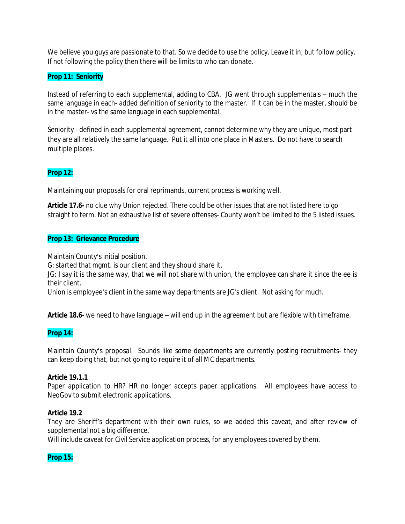We believe you guys are passionate to that. So we decide to use the policy. Leave it in, but follow policy. If not following the policy then there will be limits to who can donate.

# **Prop 11: Seniority**

Instead of referring to each supplemental, adding to CBA. JG went through supplementals – much the same language in each- added definition of seniority to the master. If it can be in the master, should be in the master- vs the same language in each supplemental.

Seniority - defined in each supplemental agreement, cannot determine why they are unique, most part they are all relatively the same language. Put it all into one place in Masters. Do not have to search multiple places.

# **Prop 12:**

Maintaining our proposals for oral reprimands, current process is working well.

**Article 17.6-** no clue why Union rejected. There could be other issues that are not listed here to go straight to term. Not an exhaustive list of severe offenses- County won't be limited to the 5 listed issues.

## **Prop 13: Grievance Procedure**

Maintain County's initial position.

G: started that mgmt. is our client and they should share it,

JG: I say it is the same way, that we will not share with union, the employee can share it since the ee is their client.

Union is employee's client in the same way departments are JG's client. Not asking for much.

**Article 18.6-** we need to have language – will end up in the agreement but are flexible with timeframe.

## **Prop 14:**

Maintain County's proposal. Sounds like some departments are currently posting recruitments- they can keep doing that, but not going to require it of all MC departments.

### **Article 19.1.1**

Paper application to HR? HR no longer accepts paper applications. All employees have access to NeoGov to submit electronic applications.

### **Article 19.2**

They are Sheriff's department with their own rules, so we added this caveat, and after review of supplemental not a big difference.

Will include caveat for Civil Service application process, for any employees covered by them.

## **Prop 15:**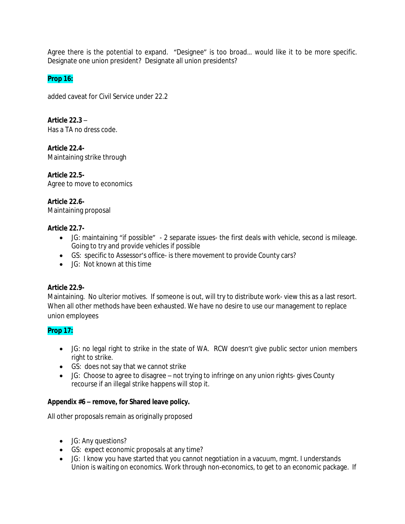Agree there is the potential to expand. "Designee" is too broad… would like it to be more specific. Designate one union president? Designate all union presidents?

# **Prop 16:**

added caveat for Civil Service under 22.2

**Article 22.3** – Has a TA no dress code.

**Article 22.4-** Maintaining strike through

**Article 22.5-** Agree to move to economics

# **Article 22.6-**

Maintaining proposal

# **Article 22.7-**

- JG: maintaining "if possible" 2 separate issues- the first deals with vehicle, second is mileage. Going to try and provide vehicles if possible
- GS: specific to Assessor's office- is there movement to provide County cars?
- JG: Not known at this time

# **Article 22.9-**

Maintaining. No ulterior motives. If someone is out, will try to distribute work- view this as a last resort. When all other methods have been exhausted. We have no desire to use our management to replace union employees

# **Prop 17:**

- JG: no legal right to strike in the state of WA. RCW doesn't give public sector union members right to strike.
- GS: does not say that we cannot strike
- JG: Choose to agree to disagree not trying to infringe on any union rights- gives County recourse if an illegal strike happens will stop it.

# **Appendix #6 – remove, for Shared leave policy.**

All other proposals remain as originally proposed

- JG: Any questions?
- GS: expect economic proposals at any time?
- JG: I know you have started that you cannot negotiation in a vacuum, mgmt. I understands Union is waiting on economics. Work through non-economics, to get to an economic package. If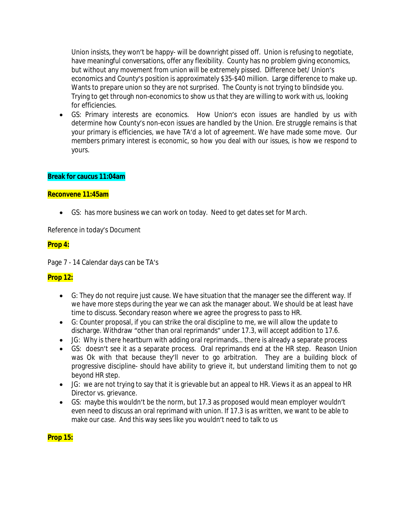Union insists, they won't be happy- will be downright pissed off. Union is refusing to negotiate, have meaningful conversations, offer any flexibility. County has no problem giving economics, but without any movement from union will be extremely pissed. Difference bet/ Union's economics and County's position is approximately \$35-\$40 million. Large difference to make up. Wants to prepare union so they are not surprised. The County is not trying to blindside you. Trying to get through non-economics to show us that they are willing to work with us, looking for efficiencies.

 GS: Primary interests are economics. How Union's econ issues are handled by us with determine how County's non-econ issues are handled by the Union. Ere struggle remains is that your primary is efficiencies, we have TA'd a lot of agreement. We have made some move. Our members primary interest is economic, so how you deal with our issues, is how we respond to yours.

## **Break for caucus 11:04am**

### **Reconvene 11:45am**

GS: has more business we can work on today. Need to get dates set for March.

Reference in today's Document

## **Prop 4:**

Page 7 - 14 Calendar days can be TA's

## **Prop 12:**

- G: They do not require just cause. We have situation that the manager see the different way. If we have more steps during the year we can ask the manager about. We should be at least have time to discuss. Secondary reason where we agree the progress to pass to HR.
- G: Counter proposal, if you can strike the oral discipline to me, we will allow the update to discharge. Withdraw "other than oral reprimands" under 17.3, will accept addition to 17.6.
- JG: Why is there heartburn with adding oral reprimands… there is already a separate process
- GS: doesn't see it as a separate process. Oral reprimands end at the HR step. Reason Union was Ok with that because they'll never to go arbitration. They are a building block of progressive discipline- should have ability to grieve it, but understand limiting them to not go beyond HR step.
- JG: we are not trying to say that it is grievable but an appeal to HR. Views it as an appeal to HR Director vs. grievance.
- GS: maybe this wouldn't be the norm, but 17.3 as proposed would mean employer wouldn't even need to discuss an oral reprimand with union. If 17.3 is as written, we want to be able to make our case. And this way sees like you wouldn't need to talk to us

### **Prop 15:**